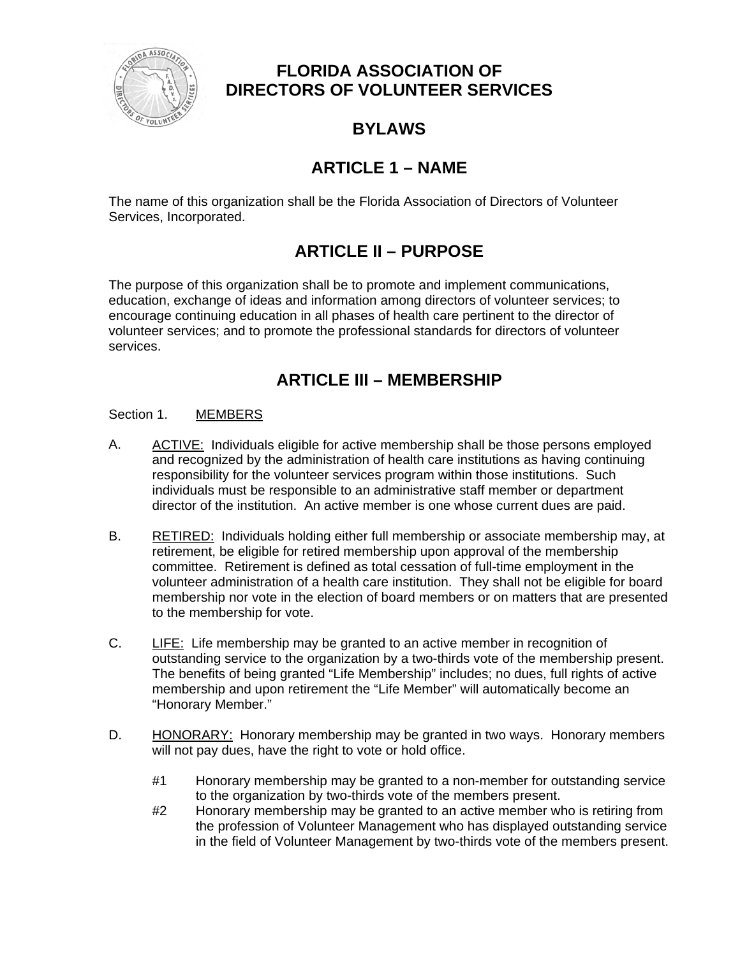

## **FLORIDA ASSOCIATION OF DIRECTORS OF VOLUNTEER SERVICES**

# **BYLAWS**

# **ARTICLE 1 – NAME**

The name of this organization shall be the Florida Association of Directors of Volunteer Services, Incorporated.

# **ARTICLE II – PURPOSE**

The purpose of this organization shall be to promote and implement communications, education, exchange of ideas and information among directors of volunteer services; to encourage continuing education in all phases of health care pertinent to the director of volunteer services; and to promote the professional standards for directors of volunteer services.

# **ARTICLE III – MEMBERSHIP**

## Section 1. MEMBERS

- A. ACTIVE: Individuals eligible for active membership shall be those persons employed and recognized by the administration of health care institutions as having continuing responsibility for the volunteer services program within those institutions. Such individuals must be responsible to an administrative staff member or department director of the institution. An active member is one whose current dues are paid.
- B. RETIRED: Individuals holding either full membership or associate membership may, at retirement, be eligible for retired membership upon approval of the membership committee. Retirement is defined as total cessation of full-time employment in the volunteer administration of a health care institution. They shall not be eligible for board membership nor vote in the election of board members or on matters that are presented to the membership for vote.
- C. LIFE: Life membership may be granted to an active member in recognition of outstanding service to the organization by a two-thirds vote of the membership present. The benefits of being granted "Life Membership" includes; no dues, full rights of active membership and upon retirement the "Life Member" will automatically become an "Honorary Member."
- D. HONORARY: Honorary membership may be granted in two ways. Honorary members will not pay dues, have the right to vote or hold office.
	- #1 Honorary membership may be granted to a non-member for outstanding service to the organization by two-thirds vote of the members present.
	- #2 Honorary membership may be granted to an active member who is retiring from the profession of Volunteer Management who has displayed outstanding service in the field of Volunteer Management by two-thirds vote of the members present.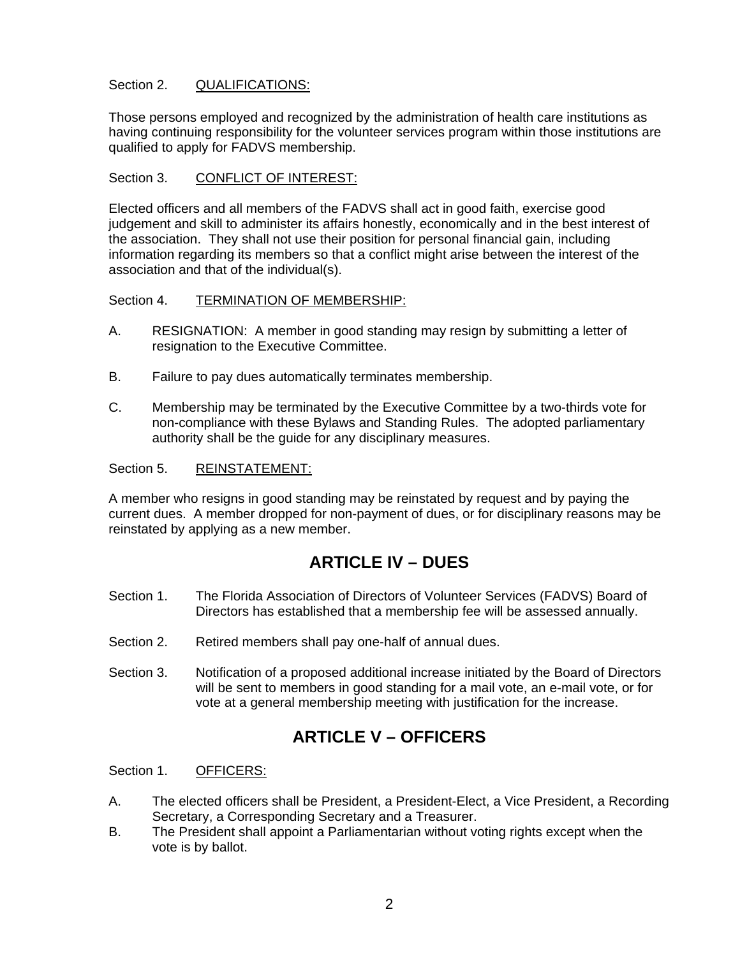## Section 2. QUALIFICATIONS:

Those persons employed and recognized by the administration of health care institutions as having continuing responsibility for the volunteer services program within those institutions are qualified to apply for FADVS membership.

#### Section 3. CONFLICT OF INTEREST:

Elected officers and all members of the FADVS shall act in good faith, exercise good judgement and skill to administer its affairs honestly, economically and in the best interest of the association. They shall not use their position for personal financial gain, including information regarding its members so that a conflict might arise between the interest of the association and that of the individual(s).

#### Section 4. TERMINATION OF MEMBERSHIP:

- A. RESIGNATION: A member in good standing may resign by submitting a letter of resignation to the Executive Committee.
- B. Failure to pay dues automatically terminates membership.
- C. Membership may be terminated by the Executive Committee by a two-thirds vote for non-compliance with these Bylaws and Standing Rules. The adopted parliamentary authority shall be the guide for any disciplinary measures.

#### Section 5. REINSTATEMENT:

A member who resigns in good standing may be reinstated by request and by paying the current dues. A member dropped for non-payment of dues, or for disciplinary reasons may be reinstated by applying as a new member.

## **ARTICLE IV – DUES**

- Section 1. The Florida Association of Directors of Volunteer Services (FADVS) Board of Directors has established that a membership fee will be assessed annually.
- Section 2. Retired members shall pay one-half of annual dues.
- Section 3. Notification of a proposed additional increase initiated by the Board of Directors will be sent to members in good standing for a mail vote, an e-mail vote, or for vote at a general membership meeting with justification for the increase.

## **ARTICLE V – OFFICERS**

## Section 1. OFFICERS:

- A. The elected officers shall be President, a President-Elect, a Vice President, a Recording Secretary, a Corresponding Secretary and a Treasurer.
- B. The President shall appoint a Parliamentarian without voting rights except when the vote is by ballot.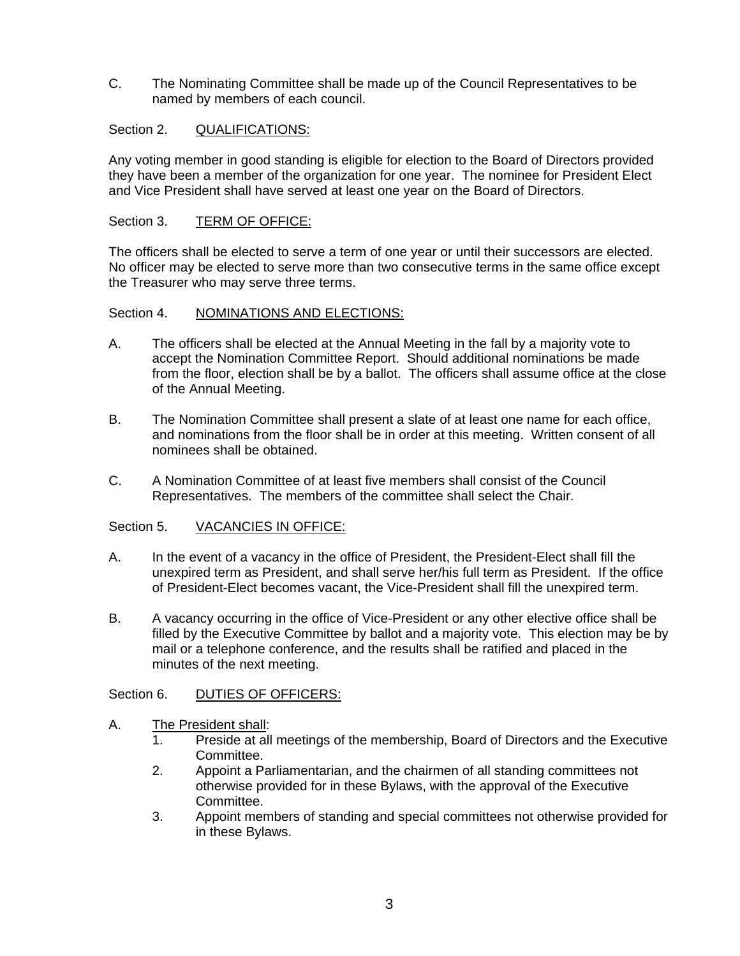C. The Nominating Committee shall be made up of the Council Representatives to be named by members of each council.

## Section 2. QUALIFICATIONS:

Any voting member in good standing is eligible for election to the Board of Directors provided they have been a member of the organization for one year. The nominee for President Elect and Vice President shall have served at least one year on the Board of Directors.

### Section 3. TERM OF OFFICE:

The officers shall be elected to serve a term of one year or until their successors are elected. No officer may be elected to serve more than two consecutive terms in the same office except the Treasurer who may serve three terms.

#### Section 4. NOMINATIONS AND ELECTIONS:

- A. The officers shall be elected at the Annual Meeting in the fall by a majority vote to accept the Nomination Committee Report. Should additional nominations be made from the floor, election shall be by a ballot. The officers shall assume office at the close of the Annual Meeting.
- B. The Nomination Committee shall present a slate of at least one name for each office, and nominations from the floor shall be in order at this meeting. Written consent of all nominees shall be obtained.
- C. A Nomination Committee of at least five members shall consist of the Council Representatives. The members of the committee shall select the Chair.

## Section 5. VACANCIES IN OFFICE:

- A. In the event of a vacancy in the office of President, the President-Elect shall fill the unexpired term as President, and shall serve her/his full term as President. If the office of President-Elect becomes vacant, the Vice-President shall fill the unexpired term.
- B. A vacancy occurring in the office of Vice-President or any other elective office shall be filled by the Executive Committee by ballot and a majority vote. This election may be by mail or a telephone conference, and the results shall be ratified and placed in the minutes of the next meeting.

## Section 6. DUTIES OF OFFICERS:

- A. The President shall:
	- 1. Preside at all meetings of the membership, Board of Directors and the Executive Committee.
	- 2. Appoint a Parliamentarian, and the chairmen of all standing committees not otherwise provided for in these Bylaws, with the approval of the Executive Committee.
	- 3. Appoint members of standing and special committees not otherwise provided for in these Bylaws.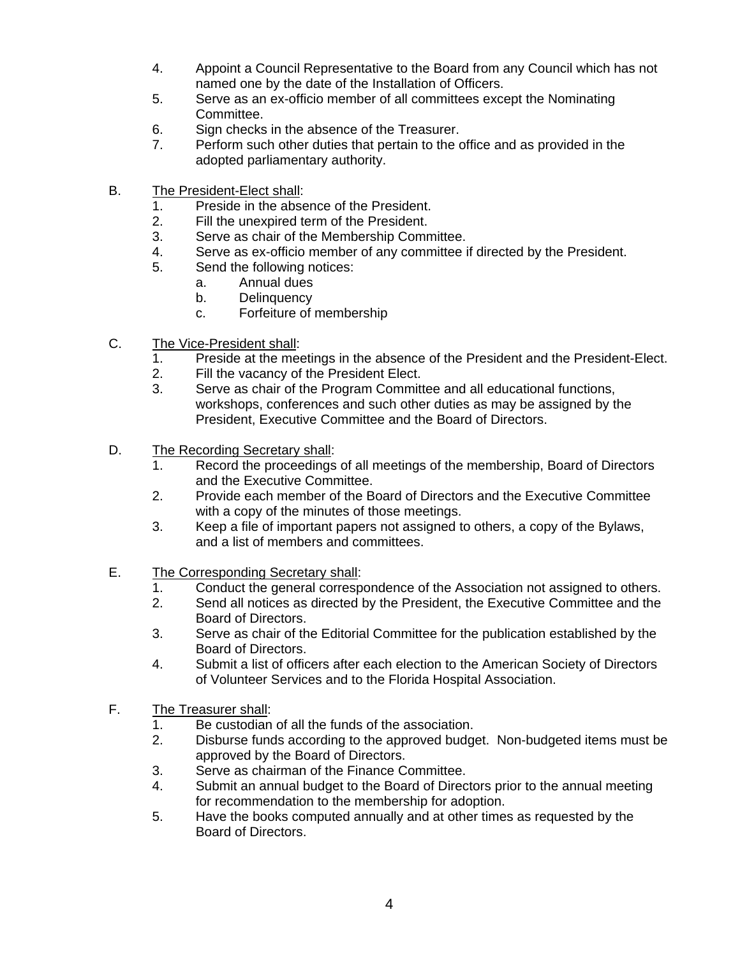- 4. Appoint a Council Representative to the Board from any Council which has not named one by the date of the Installation of Officers.
- 5. Serve as an ex-officio member of all committees except the Nominating Committee.
- 6. Sign checks in the absence of the Treasurer.
- 7. Perform such other duties that pertain to the office and as provided in the adopted parliamentary authority.
- B. The President-Elect shall:
	- 1. Preside in the absence of the President.
	- 2. Fill the unexpired term of the President.
	- 3. Serve as chair of the Membership Committee.
	- 4. Serve as ex-officio member of any committee if directed by the President.
	- 5. Send the following notices:
		- a. Annual dues
		- b. Delinquency
		- c. Forfeiture of membership
- C. The Vice-President shall:
	- 1. Preside at the meetings in the absence of the President and the President-Elect.
	- 2. Fill the vacancy of the President Elect.
	- 3. Serve as chair of the Program Committee and all educational functions, workshops, conferences and such other duties as may be assigned by the President, Executive Committee and the Board of Directors.
- D. The Recording Secretary shall:
	- 1. Record the proceedings of all meetings of the membership, Board of Directors and the Executive Committee.
	- 2. Provide each member of the Board of Directors and the Executive Committee with a copy of the minutes of those meetings.
	- 3. Keep a file of important papers not assigned to others, a copy of the Bylaws, and a list of members and committees.
- E. The Corresponding Secretary shall:
	- 1. Conduct the general correspondence of the Association not assigned to others.
	- 2. Send all notices as directed by the President, the Executive Committee and the Board of Directors.
	- 3. Serve as chair of the Editorial Committee for the publication established by the Board of Directors.
	- 4. Submit a list of officers after each election to the American Society of Directors of Volunteer Services and to the Florida Hospital Association.
- F. The Treasurer shall:
	- 1. Be custodian of all the funds of the association.
	- 2. Disburse funds according to the approved budget. Non-budgeted items must be approved by the Board of Directors.
	- 3. Serve as chairman of the Finance Committee.
	- 4. Submit an annual budget to the Board of Directors prior to the annual meeting for recommendation to the membership for adoption.
	- 5. Have the books computed annually and at other times as requested by the Board of Directors.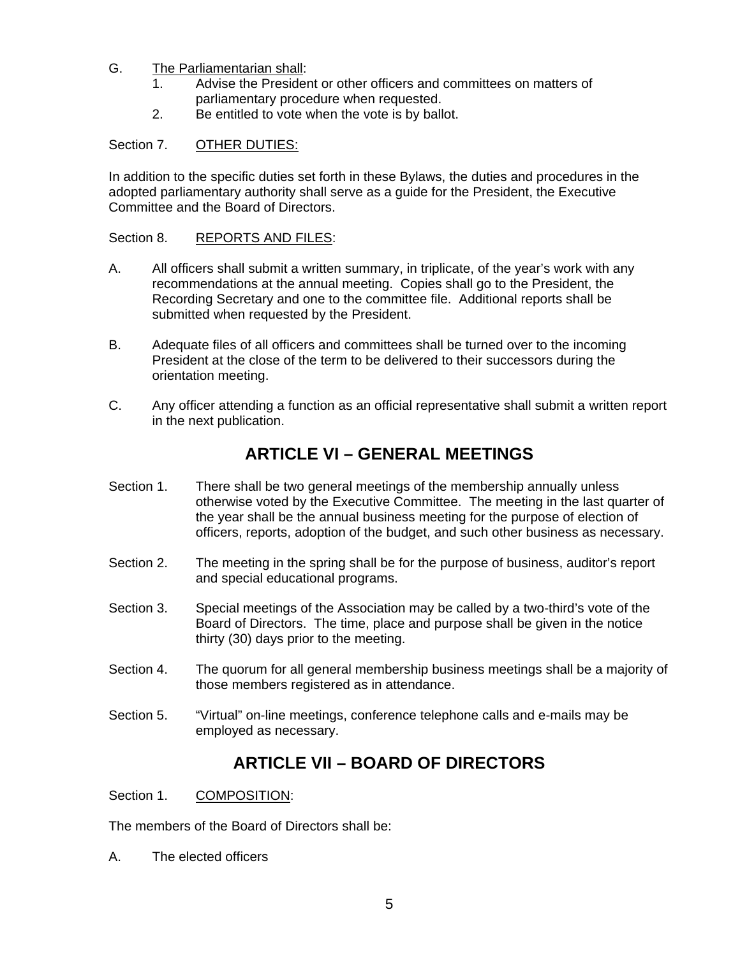## G. The Parliamentarian shall:

- 1. Advise the President or other officers and committees on matters of parliamentary procedure when requested.
- 2. Be entitled to vote when the vote is by ballot.

### Section 7. OTHER DUTIES:

In addition to the specific duties set forth in these Bylaws, the duties and procedures in the adopted parliamentary authority shall serve as a guide for the President, the Executive Committee and the Board of Directors.

#### Section 8. REPORTS AND FILES:

- A. All officers shall submit a written summary, in triplicate, of the year's work with any recommendations at the annual meeting. Copies shall go to the President, the Recording Secretary and one to the committee file. Additional reports shall be submitted when requested by the President.
- B. Adequate files of all officers and committees shall be turned over to the incoming President at the close of the term to be delivered to their successors during the orientation meeting.
- C. Any officer attending a function as an official representative shall submit a written report in the next publication.

## **ARTICLE VI – GENERAL MEETINGS**

- Section 1. There shall be two general meetings of the membership annually unless otherwise voted by the Executive Committee. The meeting in the last quarter of the year shall be the annual business meeting for the purpose of election of officers, reports, adoption of the budget, and such other business as necessary.
- Section 2. The meeting in the spring shall be for the purpose of business, auditor's report and special educational programs.
- Section 3. Special meetings of the Association may be called by a two-third's vote of the Board of Directors. The time, place and purpose shall be given in the notice thirty (30) days prior to the meeting.
- Section 4. The quorum for all general membership business meetings shall be a majority of those members registered as in attendance.
- Section 5. "Virtual" on-line meetings, conference telephone calls and e-mails may be employed as necessary.

## **ARTICLE VII – BOARD OF DIRECTORS**

Section 1. COMPOSITION:

The members of the Board of Directors shall be:

A. The elected officers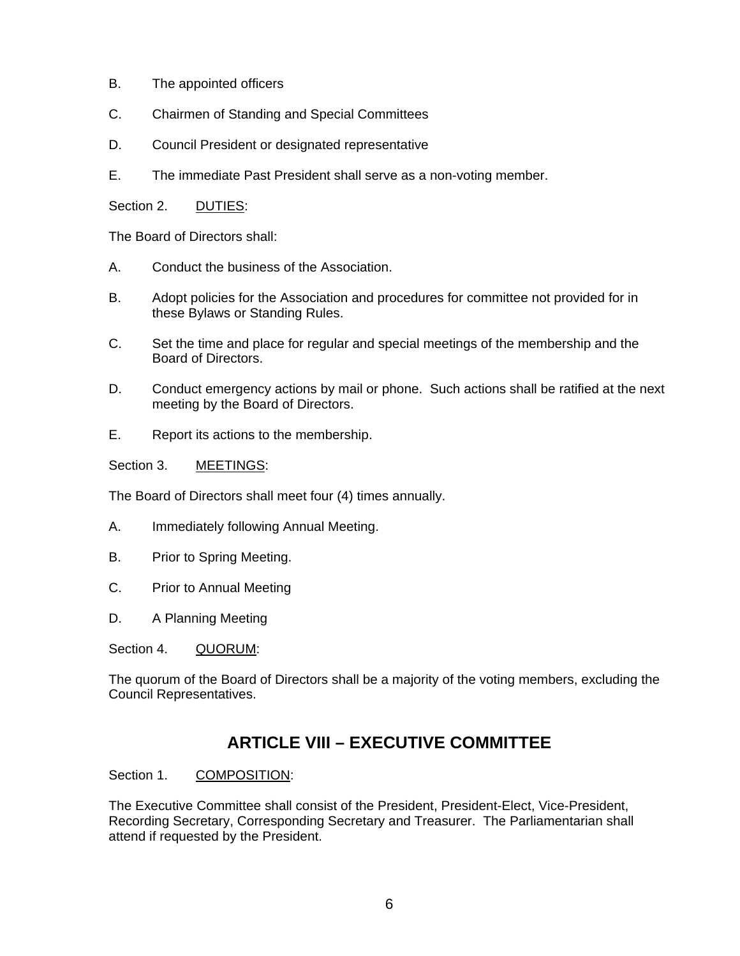- B. The appointed officers
- C. Chairmen of Standing and Special Committees
- D. Council President or designated representative
- E. The immediate Past President shall serve as a non-voting member.

Section 2. DUTIES:

The Board of Directors shall:

- A. Conduct the business of the Association.
- B. Adopt policies for the Association and procedures for committee not provided for in these Bylaws or Standing Rules.
- C. Set the time and place for regular and special meetings of the membership and the Board of Directors.
- D. Conduct emergency actions by mail or phone. Such actions shall be ratified at the next meeting by the Board of Directors.
- E. Report its actions to the membership.

Section 3. MEETINGS:

The Board of Directors shall meet four (4) times annually.

- A. Immediately following Annual Meeting.
- B. Prior to Spring Meeting.
- C. Prior to Annual Meeting
- D. A Planning Meeting
- Section 4. QUORUM:

The quorum of the Board of Directors shall be a majority of the voting members, excluding the Council Representatives.

## **ARTICLE VIII – EXECUTIVE COMMITTEE**

#### Section 1. COMPOSITION:

The Executive Committee shall consist of the President, President-Elect, Vice-President, Recording Secretary, Corresponding Secretary and Treasurer. The Parliamentarian shall attend if requested by the President.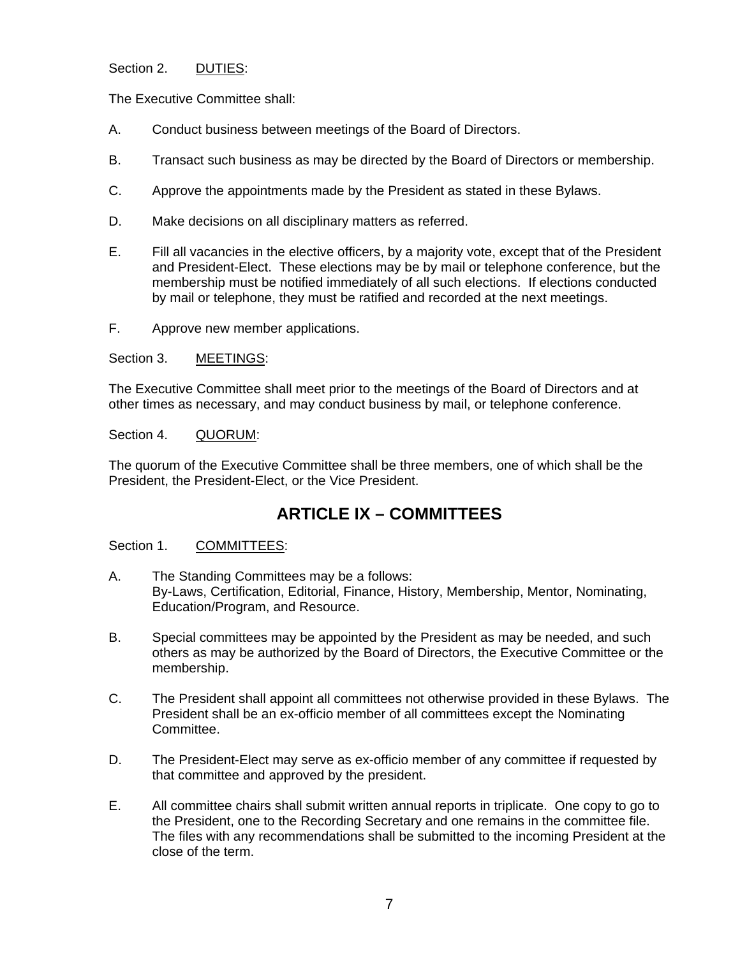### Section 2. DUTIES:

The Executive Committee shall:

- A. Conduct business between meetings of the Board of Directors.
- B. Transact such business as may be directed by the Board of Directors or membership.
- C. Approve the appointments made by the President as stated in these Bylaws.
- D. Make decisions on all disciplinary matters as referred.
- E. Fill all vacancies in the elective officers, by a majority vote, except that of the President and President-Elect. These elections may be by mail or telephone conference, but the membership must be notified immediately of all such elections. If elections conducted by mail or telephone, they must be ratified and recorded at the next meetings.
- F. Approve new member applications.

#### Section 3. MEETINGS:

The Executive Committee shall meet prior to the meetings of the Board of Directors and at other times as necessary, and may conduct business by mail, or telephone conference.

#### Section 4. QUORUM:

The quorum of the Executive Committee shall be three members, one of which shall be the President, the President-Elect, or the Vice President.

## **ARTICLE IX – COMMITTEES**

#### Section 1. COMMITTEES:

- A. The Standing Committees may be a follows: By-Laws, Certification, Editorial, Finance, History, Membership, Mentor, Nominating, Education/Program, and Resource.
- B. Special committees may be appointed by the President as may be needed, and such others as may be authorized by the Board of Directors, the Executive Committee or the membership.
- C. The President shall appoint all committees not otherwise provided in these Bylaws. The President shall be an ex-officio member of all committees except the Nominating Committee.
- D. The President-Elect may serve as ex-officio member of any committee if requested by that committee and approved by the president.
- E. All committee chairs shall submit written annual reports in triplicate. One copy to go to the President, one to the Recording Secretary and one remains in the committee file. The files with any recommendations shall be submitted to the incoming President at the close of the term.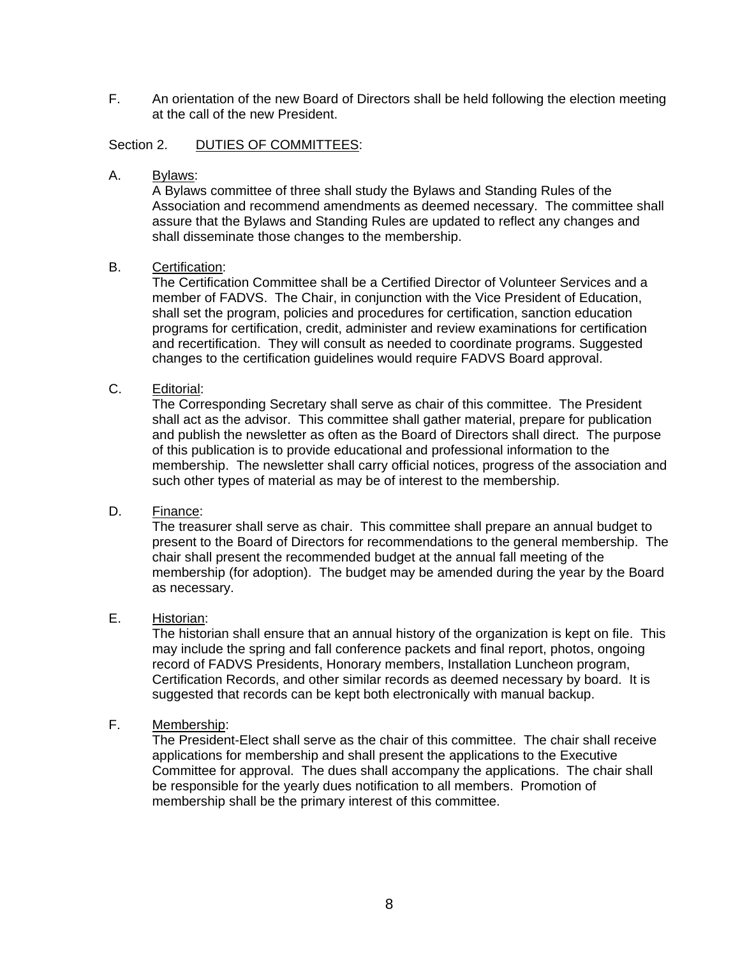F. An orientation of the new Board of Directors shall be held following the election meeting at the call of the new President.

#### Section 2. DUTIES OF COMMITTEES:

A. Bylaws:

A Bylaws committee of three shall study the Bylaws and Standing Rules of the Association and recommend amendments as deemed necessary. The committee shall assure that the Bylaws and Standing Rules are updated to reflect any changes and shall disseminate those changes to the membership.

#### B. Certification:

The Certification Committee shall be a Certified Director of Volunteer Services and a member of FADVS. The Chair, in conjunction with the Vice President of Education, shall set the program, policies and procedures for certification, sanction education programs for certification, credit, administer and review examinations for certification and recertification. They will consult as needed to coordinate programs. Suggested changes to the certification guidelines would require FADVS Board approval.

#### C. Editorial:

The Corresponding Secretary shall serve as chair of this committee. The President shall act as the advisor. This committee shall gather material, prepare for publication and publish the newsletter as often as the Board of Directors shall direct. The purpose of this publication is to provide educational and professional information to the membership. The newsletter shall carry official notices, progress of the association and such other types of material as may be of interest to the membership.

### D. Finance:

The treasurer shall serve as chair. This committee shall prepare an annual budget to present to the Board of Directors for recommendations to the general membership. The chair shall present the recommended budget at the annual fall meeting of the membership (for adoption). The budget may be amended during the year by the Board as necessary.

## E. Historian:

The historian shall ensure that an annual history of the organization is kept on file. This may include the spring and fall conference packets and final report, photos, ongoing record of FADVS Presidents, Honorary members, Installation Luncheon program, Certification Records, and other similar records as deemed necessary by board. It is suggested that records can be kept both electronically with manual backup.

#### F. Membership:

The President-Elect shall serve as the chair of this committee. The chair shall receive applications for membership and shall present the applications to the Executive Committee for approval. The dues shall accompany the applications. The chair shall be responsible for the yearly dues notification to all members. Promotion of membership shall be the primary interest of this committee.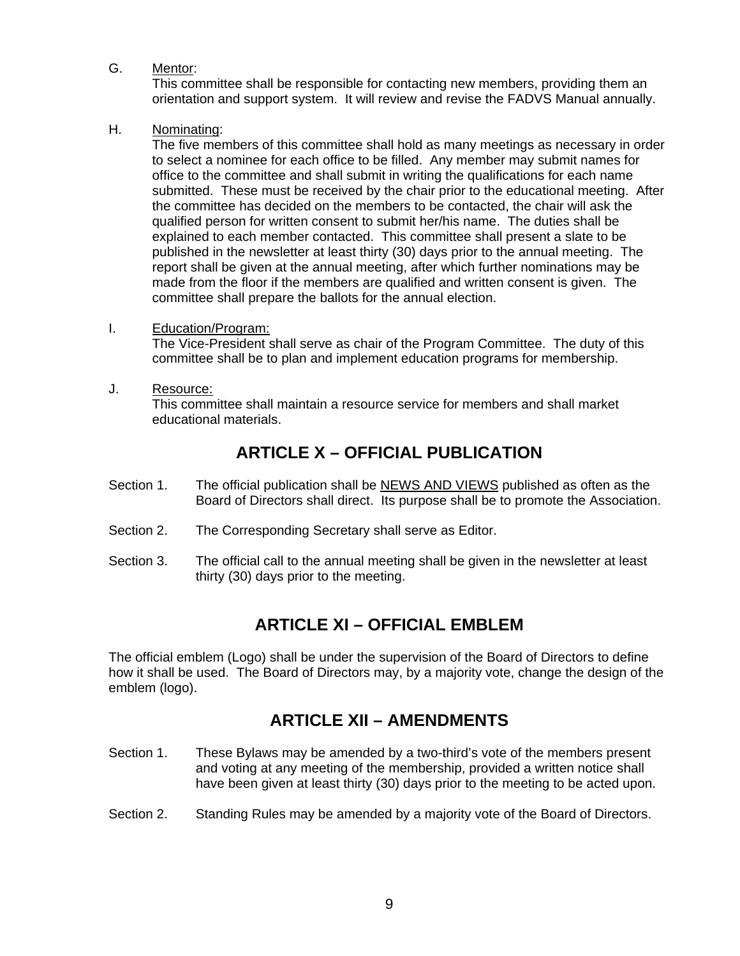## G. Mentor:

This committee shall be responsible for contacting new members, providing them an orientation and support system. It will review and revise the FADVS Manual annually.

## H. Nominating:

The five members of this committee shall hold as many meetings as necessary in order to select a nominee for each office to be filled. Any member may submit names for office to the committee and shall submit in writing the qualifications for each name submitted. These must be received by the chair prior to the educational meeting. After the committee has decided on the members to be contacted, the chair will ask the qualified person for written consent to submit her/his name. The duties shall be explained to each member contacted. This committee shall present a slate to be published in the newsletter at least thirty (30) days prior to the annual meeting. The report shall be given at the annual meeting, after which further nominations may be made from the floor if the members are qualified and written consent is given. The committee shall prepare the ballots for the annual election.

## I. Education/Program:

The Vice-President shall serve as chair of the Program Committee. The duty of this committee shall be to plan and implement education programs for membership.

J. Resource: This committee shall maintain a resource service for members and shall market educational materials.

# **ARTICLE X – OFFICIAL PUBLICATION**

- Section 1. The official publication shall be NEWS AND VIEWS published as often as the Board of Directors shall direct. Its purpose shall be to promote the Association.
- Section 2. The Corresponding Secretary shall serve as Editor.
- Section 3. The official call to the annual meeting shall be given in the newsletter at least thirty (30) days prior to the meeting.

## **ARTICLE XI – OFFICIAL EMBLEM**

The official emblem (Logo) shall be under the supervision of the Board of Directors to define how it shall be used. The Board of Directors may, by a majority vote, change the design of the emblem (logo).

## **ARTICLE XII – AMENDMENTS**

- Section 1. These Bylaws may be amended by a two-third's vote of the members present and voting at any meeting of the membership, provided a written notice shall have been given at least thirty (30) days prior to the meeting to be acted upon.
- Section 2. Standing Rules may be amended by a majority vote of the Board of Directors.